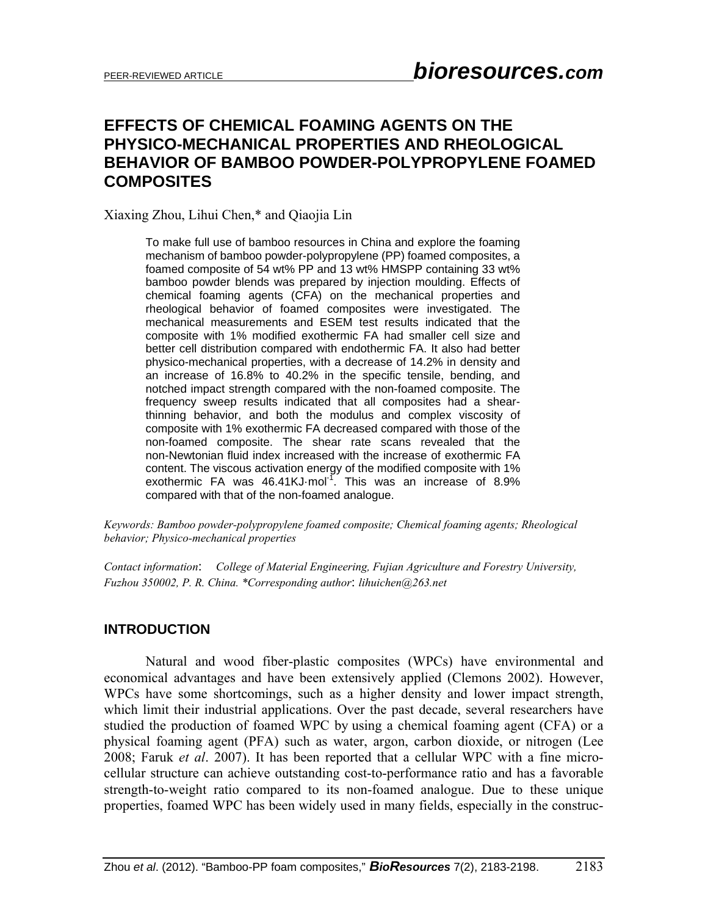# **EFFECTS OF CHEMICAL FOAMING AGENTS ON THE PHYSICO-MECHANICAL PROPERTIES AND RHEOLOGICAL BEHAVIOR OF BAMBOO POWDER-POLYPROPYLENE FOAMED COMPOSITES**

Xiaxing Zhou, Lihui Chen,\* and Qiaojia Lin

To make full use of bamboo resources in China and explore the foaming mechanism of bamboo powder-polypropylene (PP) foamed composites, a foamed composite of 54 wt% PP and 13 wt% HMSPP containing 33 wt% bamboo powder blends was prepared by injection moulding. Effects of chemical foaming agents (CFA) on the mechanical properties and rheological behavior of foamed composites were investigated. The mechanical measurements and ESEM test results indicated that the composite with 1% modified exothermic FA had smaller cell size and better cell distribution compared with endothermic FA. It also had better physico-mechanical properties, with a decrease of 14.2% in density and an increase of 16.8% to 40.2% in the specific tensile, bending, and notched impact strength compared with the non-foamed composite. The frequency sweep results indicated that all composites had a shearthinning behavior, and both the modulus and complex viscosity of composite with 1% exothermic FA decreased compared with those of the non-foamed composite. The shear rate scans revealed that the non-Newtonian fluid index increased with the increase of exothermic FA content. The viscous activation energy of the modified composite with 1% exothermic FA was  $46.41KJ \cdot mol^{-1}$ . This was an increase of 8.9% compared with that of the non-foamed analogue.

*Keywords: Bamboo powder-polypropylene foamed composite; Chemical foaming agents; Rheological behavior; Physico-mechanical properties* 

*Contact information*: *College of Material Engineering, Fujian Agriculture and Forestry University, Fuzhou 350002, P. R. China. \*Corresponding author*: *lihuichen@263.net* 

#### **INTRODUCTION**

Natural and wood fiber-plastic composites (WPCs) have environmental and economical advantages and have been extensively applied (Clemons 2002). However, WPCs have some shortcomings, such as a higher density and lower impact strength, which limit their industrial applications. Over the past decade, several researchers have studied the production of foamed WPC by using a chemical foaming agent (CFA) or a physical foaming agent (PFA) such as water, argon, carbon dioxide, or nitrogen (Lee 2008; Faruk *et al*. 2007). It has been reported that a cellular WPC with a fine microcellular structure can achieve outstanding cost-to-performance ratio and has a favorable strength-to-weight ratio compared to its non-foamed analogue. Due to these unique properties, foamed WPC has been widely used in many fields, especially in the construc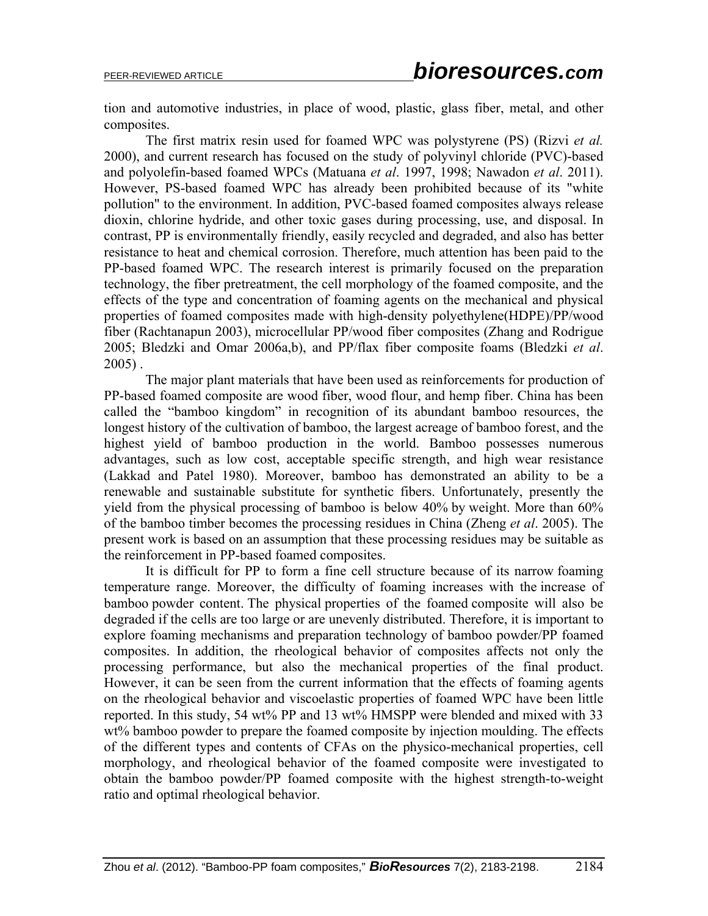tion and automotive industries, in place of wood, plastic, glass fiber, metal, and other composites.

The first matrix resin used for foamed WPC was polystyrene (PS) (Rizvi *et al.* 2000), and current research has focused on the study of polyvinyl chloride (PVC)-based and polyolefin-based foamed WPCs (Matuana *et al*. 1997, 1998; Nawadon *et al*. 2011). However, PS-based foamed WPC has already been prohibited because of its "white pollution" to the environment. In addition, PVC-based foamed composites always release dioxin, chlorine hydride, and other toxic gases during processing, use, and disposal. In contrast, PP is environmentally friendly, easily recycled and degraded, and also has better resistance to heat and chemical corrosion. Therefore, much attention has been paid to the PP-based foamed WPC. The research interest is primarily focused on the preparation technology, the fiber pretreatment, the cell morphology of the foamed composite, and the effects of the type and concentration of foaming agents on the mechanical and physical properties of foamed composites made with high-density polyethylene(HDPE)/PP/wood fiber (Rachtanapun 2003), microcellular PP/wood fiber composites (Zhang and Rodrigue 2005; Bledzki and Omar 2006a,b), and PP/flax fiber composite foams (Bledzki *et al*. 2005) .

The major plant materials that have been used as reinforcements for production of PP-based foamed composite are wood fiber, wood flour, and hemp fiber. China has been called the "bamboo kingdom" in recognition of its abundant bamboo resources, the longest history of the cultivation of bamboo, the largest acreage of bamboo forest, and the highest yield of bamboo production in the world. Bamboo possesses numerous advantages, such as low cost, acceptable specific strength, and high wear resistance (Lakkad and Patel 1980). Moreover, bamboo has demonstrated an ability to be a renewable and sustainable substitute for synthetic fibers. Unfortunately, presently the yield from the physical processing of bamboo is below 40% by weight. More than 60% of the bamboo timber becomes the processing residues in China (Zheng *et al*. 2005). The present work is based on an assumption that these processing residues may be suitable as the reinforcement in PP-based foamed composites.

It is difficult for PP to form a fine cell structure because of its narrow foaming temperature range. Moreover, the difficulty of foaming increases with the increase of bamboo powder content. The physical properties of the foamed composite will also be degraded if the cells are too large or are unevenly distributed. Therefore, it is important to explore foaming mechanisms and preparation technology of bamboo powder/PP foamed composites. In addition, the rheological behavior of composites affects not only the processing performance, but also the mechanical properties of the final product. However, it can be seen from the current information that the effects of foaming agents on the rheological behavior and viscoelastic properties of foamed WPC have been little reported. In this study, 54 wt% PP and 13 wt% HMSPP were blended and mixed with 33 wt% bamboo powder to prepare the foamed composite by injection moulding. The effects of the different types and contents of CFAs on the physico-mechanical properties, cell morphology, and rheological behavior of the foamed composite were investigated to obtain the bamboo powder/PP foamed composite with the highest strength-to-weight ratio and optimal rheological behavior.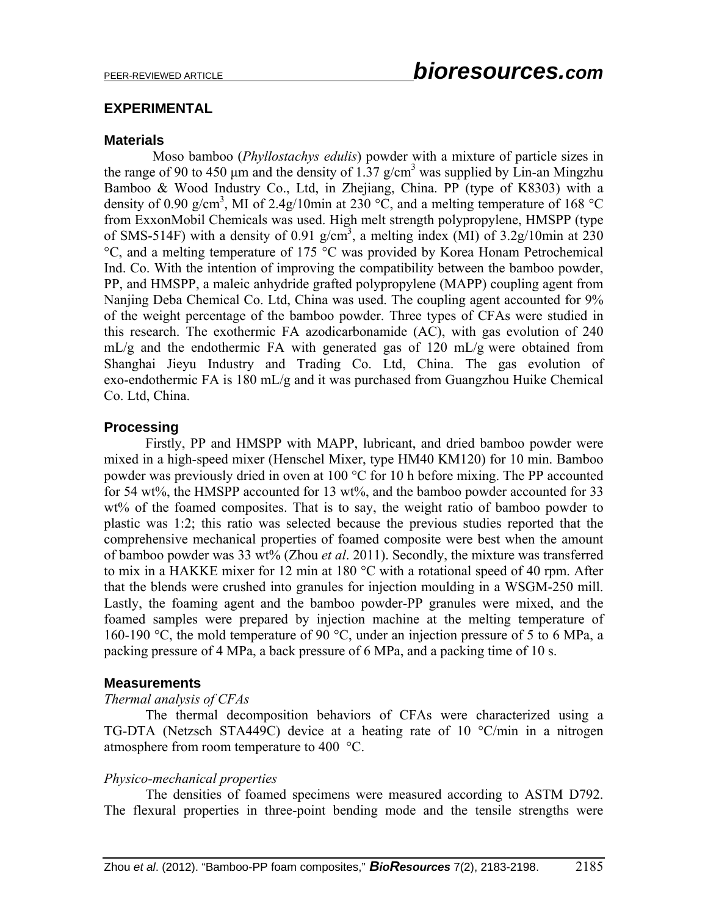## **EXPERIMENTAL**

### **Materials**

 Moso bamboo (*Phyllostachys edulis*) powder with a mixture of particle sizes in the range of 90 to 450  $\mu$ m and the density of 1.37 g/cm<sup>3</sup> was supplied by Lin-an Mingzhu Bamboo & Wood Industry Co., Ltd, in Zhejiang, China. PP (type of K8303) with a density of 0.90 g/cm<sup>3</sup>, MI of 2.4g/10min at 230 °C, and a melting temperature of 168 °C from ExxonMobil Chemicals was used. High melt strength polypropylene, HMSPP (type of SMS-514F) with a density of 0.91  $g/cm^3$ , a melting index (MI) of 3.2g/10min at 230 °C, and a melting temperature of 175 °C was provided by Korea Honam Petrochemical Ind. Co. With the intention of improving the compatibility between the bamboo powder, PP, and HMSPP, a maleic anhydride grafted polypropylene (MAPP) coupling agent from Nanjing Deba Chemical Co. Ltd, China was used. The coupling agent accounted for 9% of the weight percentage of the bamboo powder. Three types of CFAs were studied in this research. The exothermic FA azodicarbonamide (AC), with gas evolution of 240 mL/g and the endothermic FA with generated gas of 120 mL/g were obtained from Shanghai Jieyu Industry and Trading Co. Ltd, China. The gas evolution of exo-endothermic FA is 180 mL/g and it was purchased from Guangzhou Huike Chemical Co. Ltd, China.

## **Processing**

Firstly, PP and HMSPP with MAPP, lubricant, and dried bamboo powder were mixed in a high-speed mixer (Henschel Mixer, type HM40 KM120) for 10 min. Bamboo powder was previously dried in oven at 100 °C for 10 h before mixing. The PP accounted for 54 wt%, the HMSPP accounted for 13 wt%, and the bamboo powder accounted for 33 wt% of the foamed composites. That is to say, the weight ratio of bamboo powder to plastic was 1:2; this ratio was selected because the previous studies reported that the comprehensive mechanical properties of foamed composite were best when the amount of bamboo powder was 33 wt% (Zhou *et al*. 2011). Secondly, the mixture was transferred to mix in a HAKKE mixer for 12 min at 180 °C with a rotational speed of 40 rpm. After that the blends were crushed into granules for injection moulding in a WSGM-250 mill. Lastly, the foaming agent and the bamboo powder-PP granules were mixed, and the foamed samples were prepared by injection machine at the melting temperature of 160-190 °C, the mold temperature of 90 °C, under an injection pressure of 5 to 6 MPa, a packing pressure of 4 MPa, a back pressure of 6 MPa, and a packing time of 10 s.

## **Measurements**

#### *Thermal analysis of CFAs*

The thermal decomposition behaviors of CFAs were characterized using a TG-DTA (Netzsch STA449C) device at a heating rate of 10 °C/min in a nitrogen atmosphere from room temperature to 400 °C.

#### *Physico-mechanical properties*

The densities of foamed specimens were measured according to ASTM D792. The flexural properties in three-point bending mode and the tensile strengths were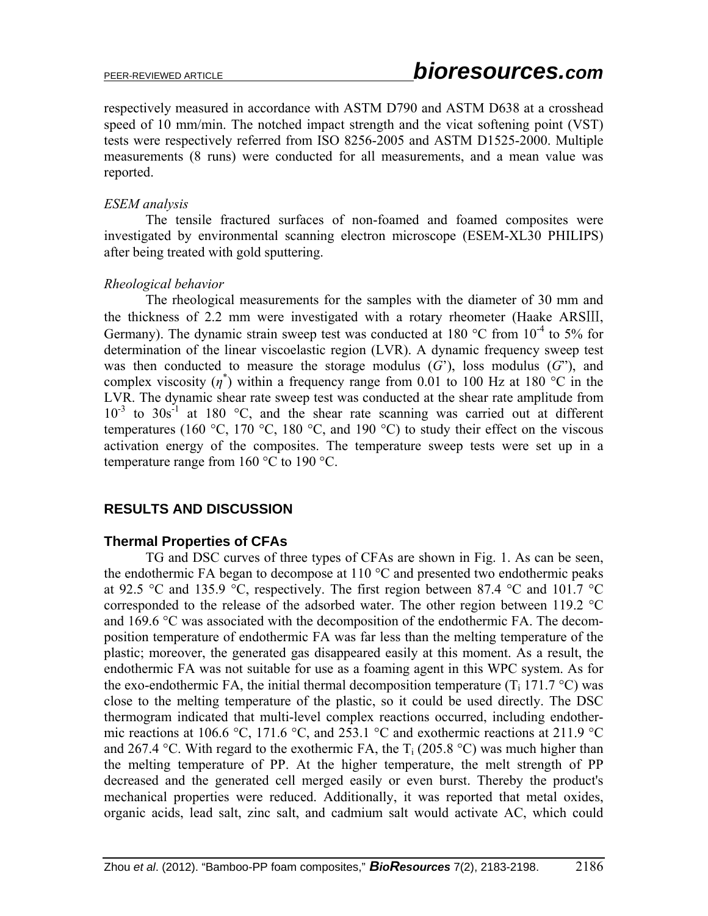respectively measured in accordance with ASTM D790 and ASTM D638 at a crosshead speed of 10 mm/min. The notched impact strength and the vicat softening point (VST) tests were respectively referred from ISO 8256-2005 and ASTM D1525-2000. Multiple measurements (8 runs) were conducted for all measurements, and a mean value was reported.

## *ESEM analysis*

The tensile fractured surfaces of non-foamed and foamed composites were investigated by environmental scanning electron microscope (ESEM-XL30 PHILIPS) after being treated with gold sputtering.

## *Rheological behavior*

The rheological measurements for the samples with the diameter of 30 mm and the thickness of 2.2 mm were investigated with a rotary rheometer (Haake ARSⅢ, Germany). The dynamic strain sweep test was conducted at 180  $^{\circ}$ C from 10<sup>-4</sup> to 5% for determination of the linear viscoelastic region (LVR). A dynamic frequency sweep test was then conducted to measure the storage modulus  $(G')$ , loss modulus  $(G'')$ , and complex viscosity  $(\eta^*)$  within a frequency range from 0.01 to 100 Hz at 180 °C in the LVR. The dynamic shear rate sweep test was conducted at the shear rate amplitude from  $10^{-3}$  to  $30s^{-1}$  at 180 °C, and the shear rate scanning was carried out at different temperatures (160 °C, 170 °C, 180 °C, and 190 °C) to study their effect on the viscous activation energy of the composites. The temperature sweep tests were set up in a temperature range from 160 °C to 190 °C.

# **RESULTS AND DISCUSSION**

# **Thermal Properties of CFAs**

TG and DSC curves of three types of CFAs are shown in Fig. 1. As can be seen, the endothermic FA began to decompose at 110 °C and presented two endothermic peaks at 92.5 °C and 135.9 °C, respectively. The first region between 87.4 °C and 101.7 °C corresponded to the release of the adsorbed water. The other region between 119.2 °C and 169.6 °C was associated with the decomposition of the endothermic FA. The decomposition temperature of endothermic FA was far less than the melting temperature of the plastic; moreover, the generated gas disappeared easily at this moment. As a result, the endothermic FA was not suitable for use as a foaming agent in this WPC system. As for the exo-endothermic FA, the initial thermal decomposition temperature  $(T_i 171.7 \text{ }^{\circ}\text{C})$  was close to the melting temperature of the plastic, so it could be used directly. The DSC thermogram indicated that multi-level complex reactions occurred, including endothermic reactions at 106.6 °C, 171.6 °C, and 253.1 °C and exothermic reactions at 211.9 °C and 267.4 °C. With regard to the exothermic FA, the  $T_i$  (205.8 °C) was much higher than the melting temperature of PP. At the higher temperature, the melt strength of PP decreased and the generated cell merged easily or even burst. Thereby the product's mechanical properties were reduced. Additionally, it was reported that metal oxides, organic acids, lead salt, zinc salt, and cadmium salt would activate AC, which could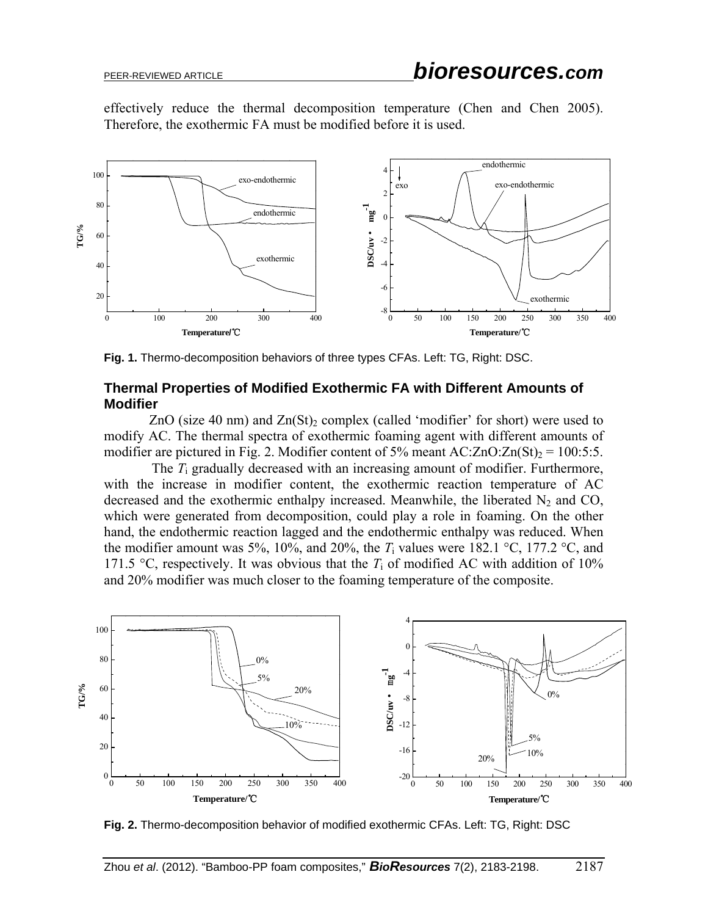effectively reduce the thermal decomposition temperature (Chen and Chen 2005). Therefore, the exothermic FA must be modified before it is used.



**Fig. 1.** Thermo-decomposition behaviors of three types CFAs. Left: TG, Right: DSC.

### **Thermal Properties of Modified Exothermic FA with Different Amounts of Modifier**

ZnO (size 40 nm) and  $Zn(St)$ <sub>2</sub> complex (called 'modifier' for short) were used to modify AC. The thermal spectra of exothermic foaming agent with different amounts of modifier are pictured in Fig. 2. Modifier content of 5% meant  $AC:ZnO:Zn(St)_{2} = 100:5:5$ .

 The *T*i gradually decreased with an increasing amount of modifier. Furthermore, with the increase in modifier content, the exothermic reaction temperature of AC decreased and the exothermic enthalpy increased. Meanwhile, the liberated  $N_2$  and CO, which were generated from decomposition, could play a role in foaming. On the other hand, the endothermic reaction lagged and the endothermic enthalpy was reduced. When the modifier amount was 5%, 10%, and 20%, the  $T_i$  values were 182.1 °C, 177.2 °C, and 171.5 °C, respectively. It was obvious that the  $T_i$  of modified AC with addition of 10% and 20% modifier was much closer to the foaming temperature of the composite.



**Fig. 2.** Thermo-decomposition behavior of modified exothermic CFAs. Left: TG, Right: DSC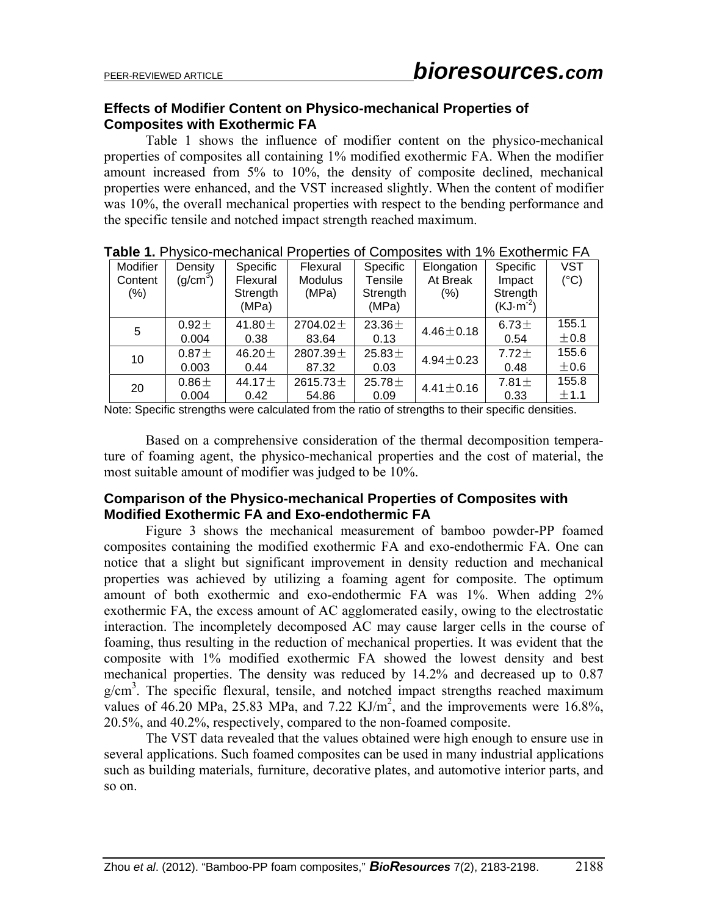## **Effects of Modifier Content on Physico-mechanical Properties of Composites with Exothermic FA**

Table 1 shows the influence of modifier content on the physico-mechanical properties of composites all containing 1% modified exothermic FA. When the modifier amount increased from 5% to 10%, the density of composite declined, mechanical properties were enhanced, and the VST increased slightly. When the content of modifier was 10%, the overall mechanical properties with respect to the bending performance and the specific tensile and notched impact strength reached maximum.

|  | Modifier | Density              | <b>Specific</b> | Flexural       | Specific    | Elongation      | Specific   | VST           |
|--|----------|----------------------|-----------------|----------------|-------------|-----------------|------------|---------------|
|  | Content  | (g/cm <sup>3</sup> ) | Flexural        | <b>Modulus</b> | Tensile     | At Break        | Impact     | $(^{\circ}C)$ |
|  | (%)      |                      | Strength        | (MPa)          | Strength    | (% )            | Strength   |               |
|  |          |                      | (MPa)           |                | (MPa)       |                 | $(KJ·m-2)$ |               |
|  | 5        | $0.92 +$             | 41.80 $\pm$     | 2704.02 $\pm$  | 23.36 $\pm$ | $4.46 \pm 0.18$ | $6.73 \pm$ | 155.1         |
|  |          | 0.004                | 0.38            | 83.64          | 0.13        |                 | 0.54       | ±0.8          |
|  | 10       | 0.87 <sub>±</sub>    | 46.20 $\pm$     | 2807.39 ±      | 25.83 $\pm$ | $4.94 + 0.23$   | $7.72 \pm$ | 155.6         |
|  |          | 0.003                | 0.44            | 87.32          | 0.03        |                 | 0.48       | $\pm 0.6$     |
|  | 20       | $0.86 \pm$           | 44.17 $\pm$     | 2615.73 $\pm$  | 25.78 $\pm$ | $4.41 \pm 0.16$ | $7.81 \pm$ | 155.8         |
|  |          | 0.004                | 0.42            | 54.86          | 0.09        |                 | 0.33       | ±1.1          |

**Table 1.** Physico-mechanical Properties of Composites with 1% Exothermic FA

Note: Specific strengths were calculated from the ratio of strengths to their specific densities.

Based on a comprehensive consideration of the thermal decomposition temperature of foaming agent, the physico-mechanical properties and the cost of material, the most suitable amount of modifier was judged to be 10%.

## **Comparison of the Physico-mechanical Properties of Composites with Modified Exothermic FA and Exo-endothermic FA**

Figure 3 shows the mechanical measurement of bamboo powder-PP foamed composites containing the modified exothermic FA and exo-endothermic FA. One can notice that a slight but significant improvement in density reduction and mechanical properties was achieved by utilizing a foaming agent for composite. The optimum amount of both exothermic and exo-endothermic FA was 1%. When adding 2% exothermic FA, the excess amount of AC agglomerated easily, owing to the electrostatic interaction. The incompletely decomposed AC may cause larger cells in the course of foaming, thus resulting in the reduction of mechanical properties. It was evident that the composite with 1% modified exothermic FA showed the lowest density and best mechanical properties. The density was reduced by 14.2% and decreased up to 0.87 g/cm<sup>3</sup>. The specific flexural, tensile, and notched impact strengths reached maximum values of 46.20 MPa, 25.83 MPa, and 7.22 KJ/ $m^2$ , and the improvements were 16.8%, 20.5%, and 40.2%, respectively, compared to the non-foamed composite.

The VST data revealed that the values obtained were high enough to ensure use in several applications. Such foamed composites can be used in many industrial applications such as building materials, furniture, decorative plates, and automotive interior parts, and so on.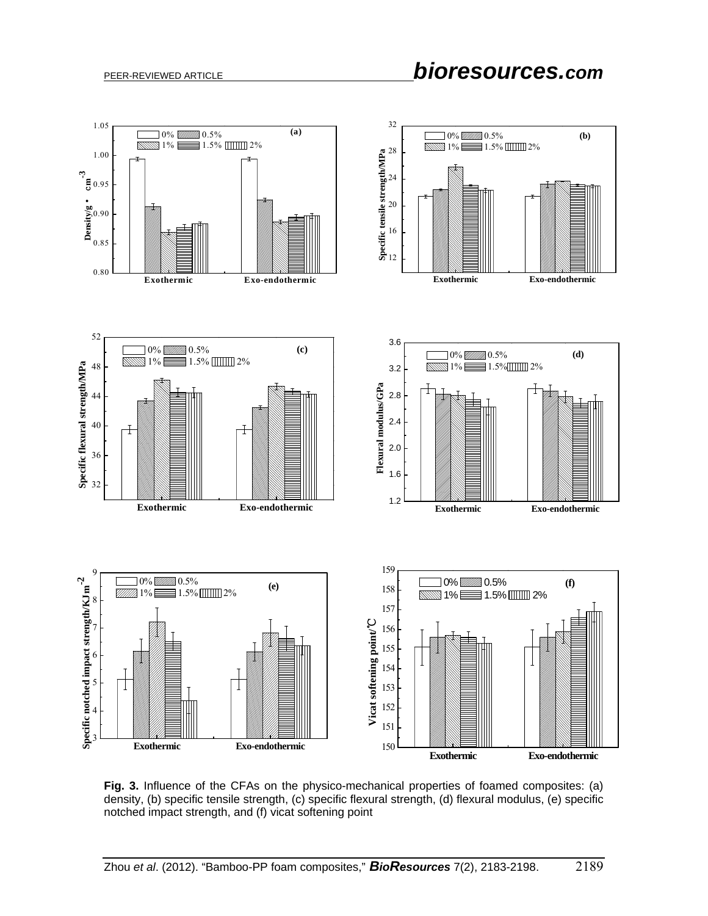

 **Fig. 3.** Influence of the CFAs on the physico-mechanical properties of foamed composites: (a) density, (b) specific tensile strength, (c) specific flexural strength, (d) flexural modulus, (e) specific notched impact strength, and (f) vicat softening point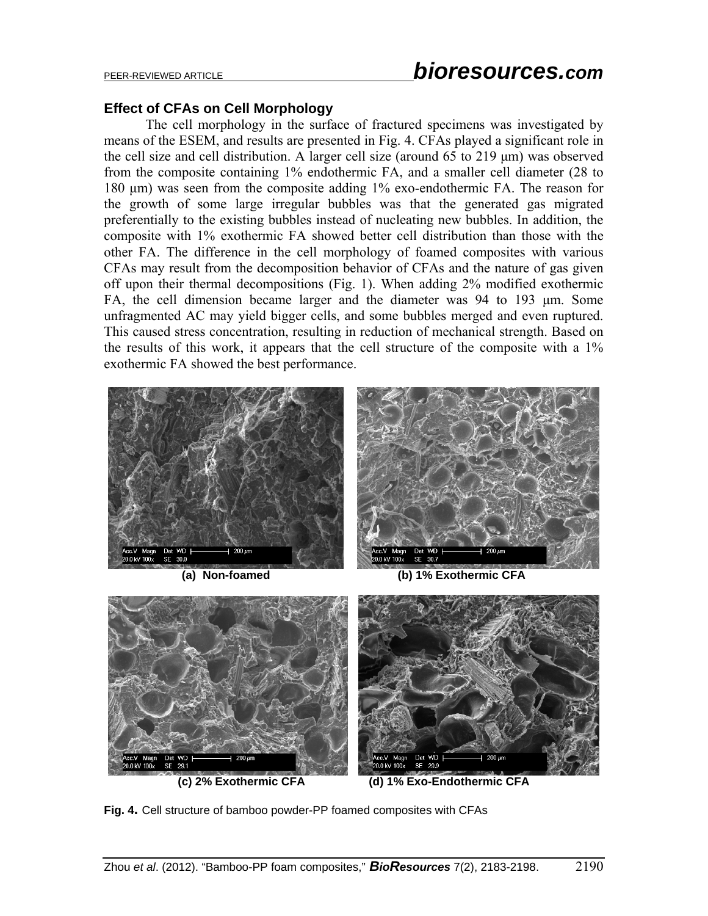# PEER-REVIEWED ARTICLE *bioresources.com*

### **Effect of CFAs on Cell Morphology**

The cell morphology in the surface of fractured specimens was investigated by means of the ESEM, and results are presented in Fig. 4. CFAs played a significant role in the cell size and cell distribution. A larger cell size (around 65 to 219 μm) was observed from the composite containing 1% endothermic FA, and a smaller cell diameter (28 to 180 μm) was seen from the composite adding 1% exo-endothermic FA. The reason for the growth of some large irregular bubbles was that the generated gas migrated preferentially to the existing bubbles instead of nucleating new bubbles. In addition, the composite with 1% exothermic FA showed better cell distribution than those with the other FA. The difference in the cell morphology of foamed composites with various CFAs may result from the decomposition behavior of CFAs and the nature of gas given off upon their thermal decompositions (Fig. 1). When adding 2% modified exothermic FA, the cell dimension became larger and the diameter was 94 to 193 μm. Some unfragmented AC may yield bigger cells, and some bubbles merged and even ruptured. This caused stress concentration, resulting in reduction of mechanical strength. Based on the results of this work, it appears that the cell structure of the composite with a 1% exothermic FA showed the best performance.



**(a) Non-foamed (b) 1% Exothermic CFA** 



**Fig. 4.** Cell structure of bamboo powder-PP foamed composites with CFAs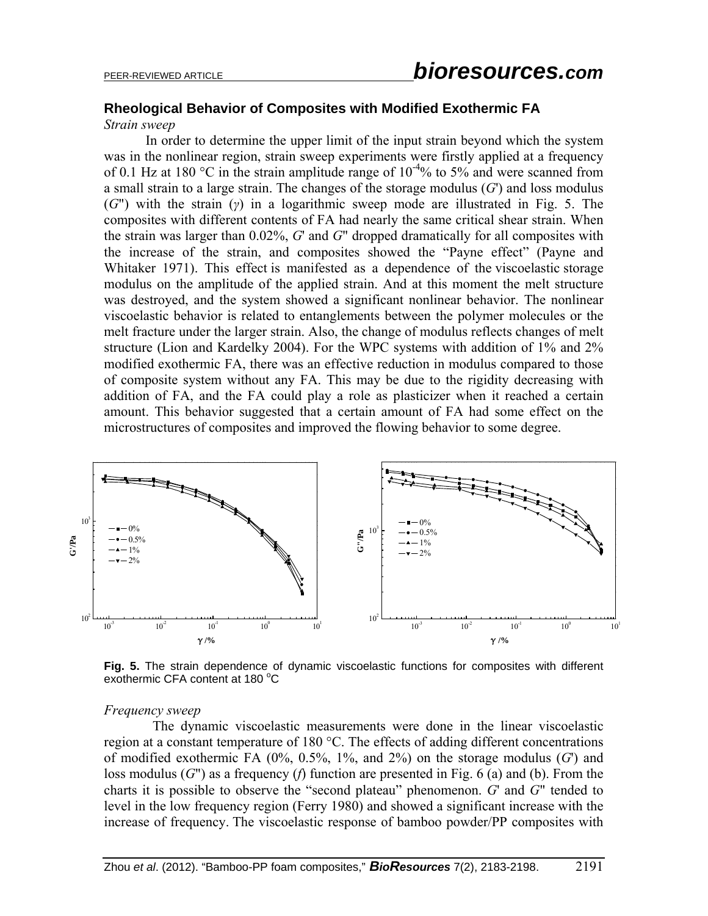# **Rheological Behavior of Composites with Modified Exothermic FA**

#### *Strain sweep*

In order to determine the upper limit of the input strain beyond which the system was in the nonlinear region, strain sweep experiments were firstly applied at a frequency of 0.1 Hz at 180 °C in the strain amplitude range of  $10^{-4}$ % to 5% and were scanned from a small strain to a large strain. The changes of the storage modulus (*G*') and loss modulus (*G*") with the strain (*γ*) in a logarithmic sweep mode are illustrated in Fig. 5. The composites with different contents of FA had nearly the same critical shear strain. When the strain was larger than 0.02%, *G*' and *G*" dropped dramatically for all composites with the increase of the strain, and composites showed the "Payne effect" (Payne and Whitaker 1971). This effect is manifested as a dependence of the viscoelastic storage modulus on the amplitude of the applied strain. And at this moment the melt structure was destroyed, and the system showed a significant nonlinear behavior. The nonlinear viscoelastic behavior is related to entanglements between the polymer molecules or the melt fracture under the larger strain. Also, the change of modulus reflects changes of melt structure (Lion and Kardelky 2004). For the WPC systems with addition of 1% and 2% modified exothermic FA, there was an effective reduction in modulus compared to those of composite system without any FA. This may be due to the rigidity decreasing with addition of FA, and the FA could play a role as plasticizer when it reached a certain amount. This behavior suggested that a certain amount of FA had some effect on the microstructures of composites and improved the flowing behavior to some degree.



**Fig. 5.** The strain dependence of dynamic viscoelastic functions for composites with different exothermic CFA content at 180 °C

#### *Frequency sweep*

The dynamic viscoelastic measurements were done in the linear viscoelastic region at a constant temperature of 180 °C. The effects of adding different concentrations of modified exothermic FA (0%, 0.5%, 1%, and 2%) on the storage modulus (*G*') and loss modulus (*G*") as a frequency (*f*) function are presented in Fig. 6 (a) and (b). From the charts it is possible to observe the "second plateau" phenomenon. *G*' and *G*" tended to level in the low frequency region (Ferry 1980) and showed a significant increase with the increase of frequency. The viscoelastic response of bamboo powder/PP composites with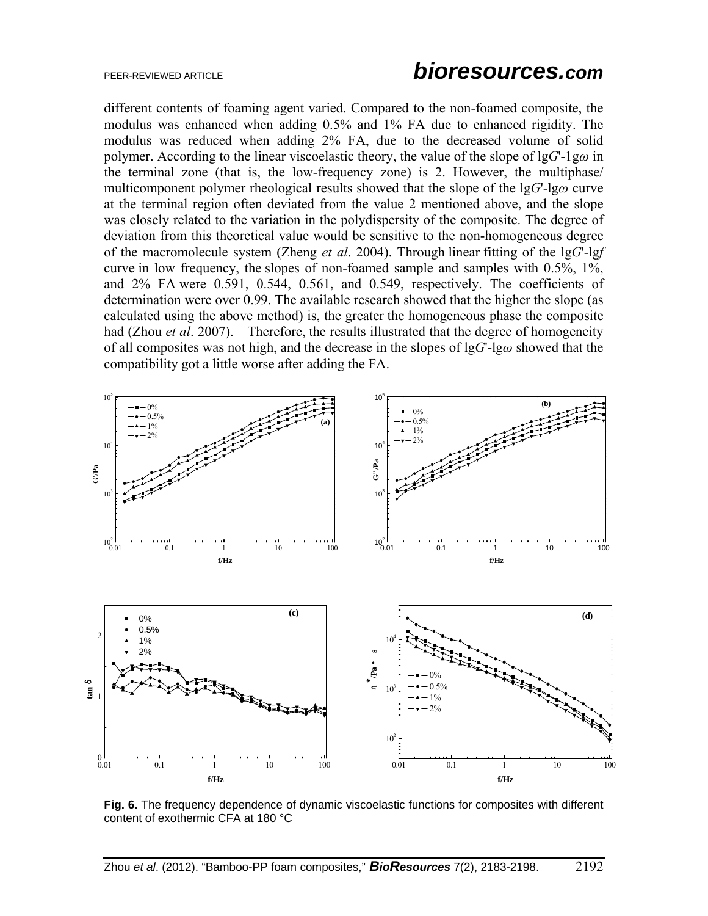different contents of foaming agent varied. Compared to the non-foamed composite, the modulus was enhanced when adding 0.5% and 1% FA due to enhanced rigidity. The modulus was reduced when adding 2% FA, due to the decreased volume of solid polymer. According to the linear viscoelastic theory, the value of the slope of lg*G*'-1g*ω* in the terminal zone (that is, the low-frequency zone) is 2. However, the multiphase/ multicomponent polymer rheological results showed that the slope of the lg*G*'-lg*ω* curve at the terminal region often deviated from the value 2 mentioned above, and the slope was closely related to the variation in the polydispersity of the composite. The degree of deviation from this theoretical value would be sensitive to the non-homogeneous degree of the macromolecule system (Zheng *et al*. 2004). Through linear fitting of the lg*G*'-lg*f* curve in low frequency, the slopes of non-foamed sample and samples with 0.5%, 1%, and 2% FA were 0.591, 0.544, 0.561, and 0.549, respectively. The coefficients of determination were over 0.99. The available research showed that the higher the slope (as calculated using the above method) is, the greater the homogeneous phase the composite had (Zhou *et al*. 2007). Therefore, the results illustrated that the degree of homogeneity of all composites was not high, and the decrease in the slopes of lg*G*'-lg*ω* showed that the compatibility got a little worse after adding the FA.



**Fig. 6.** The frequency dependence of dynamic viscoelastic functions for composites with different content of exothermic CFA at 180 °C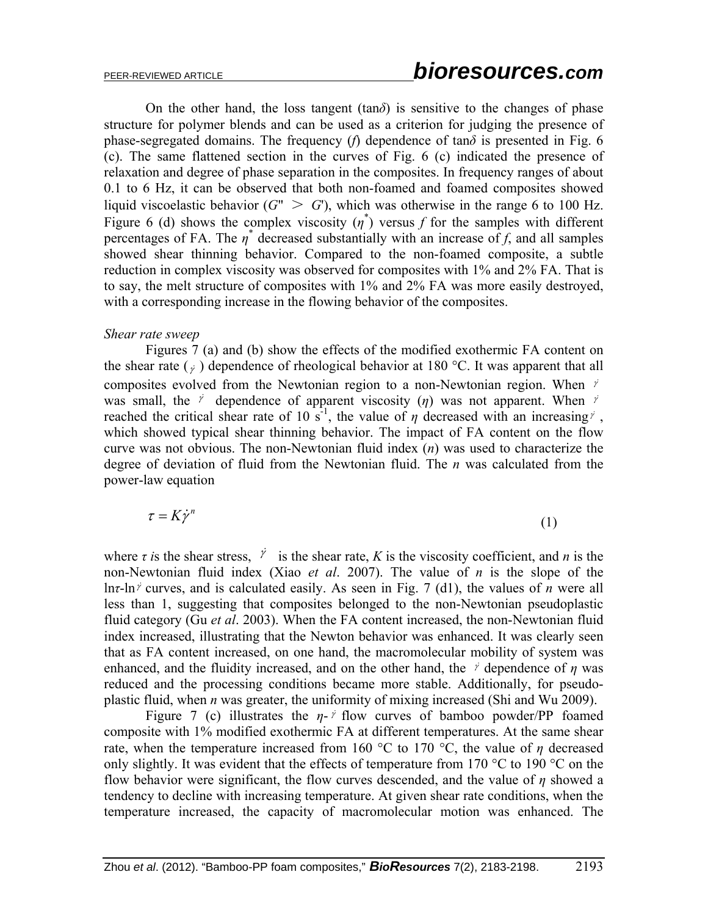On the other hand, the loss tangent  $(tan\delta)$  is sensitive to the changes of phase structure for polymer blends and can be used as a criterion for judging the presence of phase-segregated domains. The frequency (*f*) dependence of tan $\delta$  is presented in Fig. 6 (c). The same flattened section in the curves of Fig. 6 (c) indicated the presence of relaxation and degree of phase separation in the composites. In frequency ranges of about 0.1 to 6 Hz, it can be observed that both non-foamed and foamed composites showed liquid viscoelastic behavior  $(G^{\prime\prime} > G^{\prime})$ , which was otherwise in the range 6 to 100 Hz. Figure 6 (d) shows the complex viscosity  $(\eta^*)$  versus *f* for the samples with different percentages of FA. The  $\eta^*$  decreased substantially with an increase of *f*, and all samples showed shear thinning behavior. Compared to the non-foamed composite, a subtle reduction in complex viscosity was observed for composites with 1% and 2% FA. That is to say, the melt structure of composites with 1% and 2% FA was more easily destroyed, with a corresponding increase in the flowing behavior of the composites.

#### *Shear rate sweep*

Figures 7 (a) and (b) show the effects of the modified exothermic FA content on the shear rate  $\left( \frac{1}{\gamma} \right)$  dependence of rheological behavior at 180 °C. It was apparent that all composites evolved from the Newtonian region to a non-Newtonian region. When  $\dot{r}$ was small, the  $\dot{r}$  dependence of apparent viscosity ( $\eta$ ) was not apparent. When  $\dot{r}$ reached the critical shear rate of 10 s<sup>-1</sup>, the value of  $\eta$  decreased with an increasing  $\gamma$ , which showed typical shear thinning behavior. The impact of FA content on the flow curve was not obvious. The non-Newtonian fluid index (*n*) was used to characterize the degree of deviation of fluid from the Newtonian fluid. The *n* was calculated from the power-law equation

$$
\tau = K \dot{\gamma}^n \tag{1}
$$

where *τ i*s the shear stress,  $\dot{r}$  is the shear rate, *K* is the viscosity coefficient, and *n* is the non-Newtonian fluid index (Xiao *et al*. 2007). The value of *n* is the slope of the lnτ-ln<sup>*j*</sup> curves, and is calculated easily. As seen in Fig. 7 (d1), the values of *n* were all less than 1, suggesting that composites belonged to the non-Newtonian pseudoplastic fluid category (Gu *et al*. 2003). When the FA content increased, the non-Newtonian fluid index increased, illustrating that the Newton behavior was enhanced. It was clearly seen that as FA content increased, on one hand, the macromolecular mobility of system was enhanced, and the fluidity increased, and on the other hand, the  $\gamma$  dependence of  $\eta$  was reduced and the processing conditions became more stable. Additionally, for pseudoplastic fluid, when *n* was greater, the uniformity of mixing increased (Shi and Wu 2009).

Figure 7 (c) illustrates the  $\eta$ -  $\dot{r}$  flow curves of bamboo powder/PP foamed composite with 1% modified exothermic FA at different temperatures. At the same shear rate, when the temperature increased from 160 °C to 170 °C, the value of  $\eta$  decreased only slightly. It was evident that the effects of temperature from 170 °C to 190 °C on the flow behavior were significant, the flow curves descended, and the value of *η* showed a tendency to decline with increasing temperature. At given shear rate conditions, when the temperature increased, the capacity of macromolecular motion was enhanced. The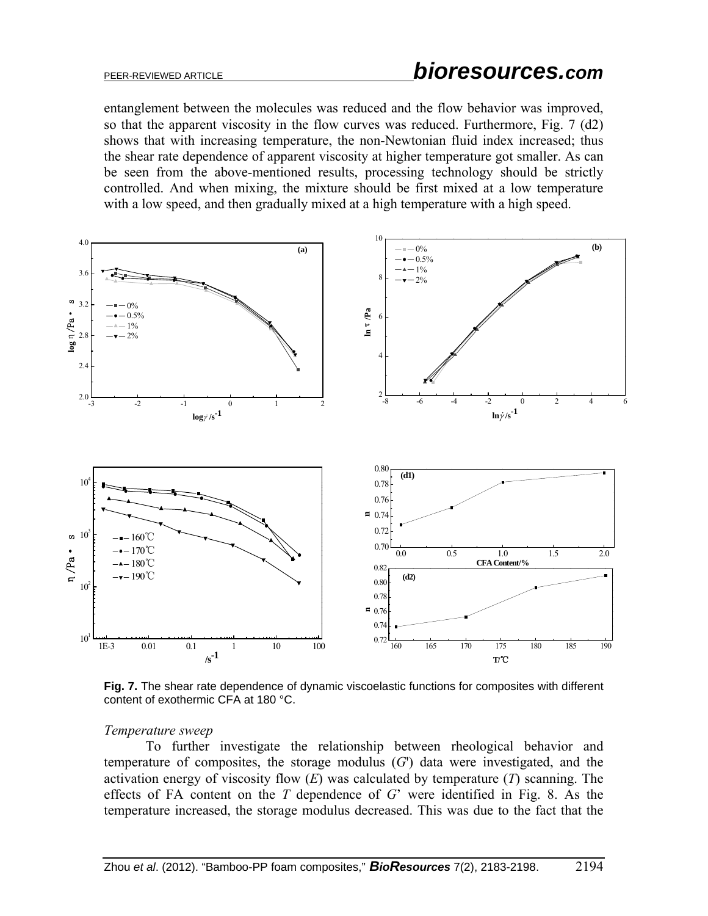entanglement between the molecules was reduced and the flow behavior was improved, so that the apparent viscosity in the flow curves was reduced. Furthermore, Fig. 7 (d2) shows that with increasing temperature, the non-Newtonian fluid index increased; thus the shear rate dependence of apparent viscosity at higher temperature got smaller. As can be seen from the above-mentioned results, processing technology should be strictly controlled. And when mixing, the mixture should be first mixed at a low temperature with a low speed, and then gradually mixed at a high temperature with a high speed.



**Fig. 7.** The shear rate dependence of dynamic viscoelastic functions for composites with different content of exothermic CFA at 180 °C.

#### *Temperature sweep*

To further investigate the relationship between rheological behavior and temperature of composites, the storage modulus (*G*') data were investigated, and the activation energy of viscosity flow (*E*) was calculated by temperature (*T*) scanning. The effects of FA content on the *T* dependence of *G*' were identified in Fig. 8. As the temperature increased, the storage modulus decreased. This was due to the fact that the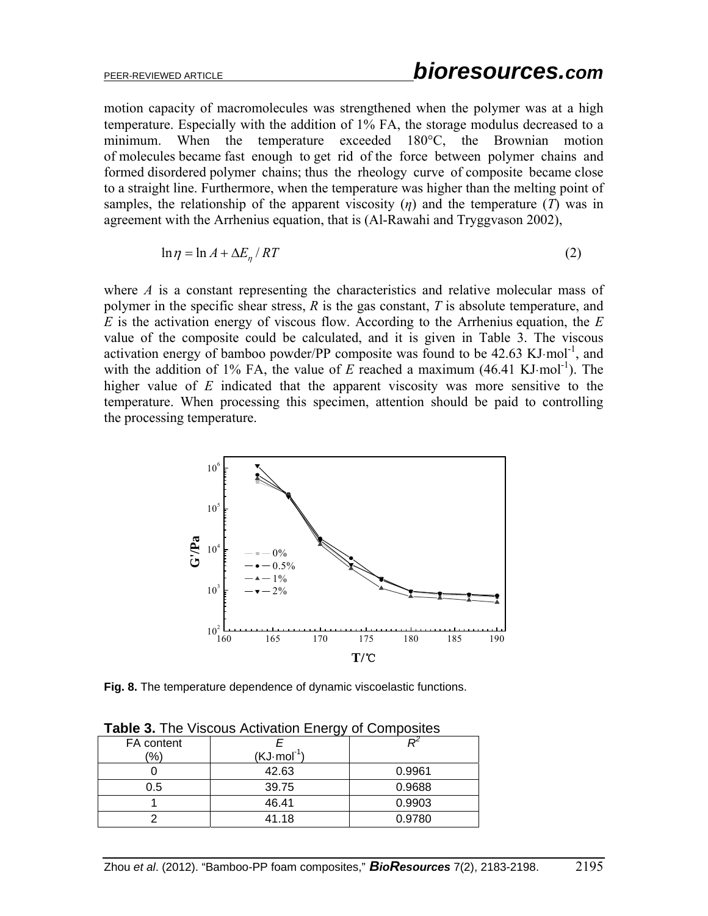motion capacity of macromolecules was strengthened when the polymer was at a high temperature. Especially with the addition of 1% FA, the storage modulus decreased to a minimum. When the temperature exceeded 180°C, the Brownian motion of molecules became fast enough to get rid of the force between polymer chains and formed disordered polymer chains; thus the rheology curve of composite became close to a straight line. Furthermore, when the temperature was higher than the melting point of samples, the relationship of the apparent viscosity  $(\eta)$  and the temperature  $(T)$  was in agreement with the Arrhenius equation, that is (Al-Rawahi and Tryggvason 2002),

$$
\ln \eta = \ln A + \Delta E_{\eta} / RT \tag{2}
$$

where *A* is a constant representing the characteristics and relative molecular mass of polymer in the specific shear stress, *R* is the gas constant, *T* is absolute temperature, and *E* is the activation energy of viscous flow. According to the Arrhenius equation, the *E* value of the composite could be calculated, and it is given in Table 3. The viscous activation energy of bamboo powder/PP composite was found to be  $42.63 \text{ KJ·mol}^{-1}$ , and with the addition of 1% FA, the value of  $E$  reached a maximum (46.41 KJ·mol<sup>-1</sup>). The higher value of *E* indicated that the apparent viscosity was more sensitive to the temperature. When processing this specimen, attention should be paid to controlling the processing temperature.



**Fig. 8.** The temperature dependence of dynamic viscoelastic functions.

| <b>Rapie J.</b> The Viscous Activation Energy of Composites |                       |        |  |  |  |  |  |
|-------------------------------------------------------------|-----------------------|--------|--|--|--|--|--|
| FA content                                                  |                       |        |  |  |  |  |  |
| '%)                                                         | $(KJ \cdot mol^{-1})$ |        |  |  |  |  |  |
|                                                             | 42.63                 | 0.9961 |  |  |  |  |  |
| 0.5                                                         | 39.75                 | 0.9688 |  |  |  |  |  |
|                                                             | 46.41                 | 0.9903 |  |  |  |  |  |
|                                                             | 41.18                 | 0.9780 |  |  |  |  |  |

**Table 3.** The Viscous Activation Energy of Composites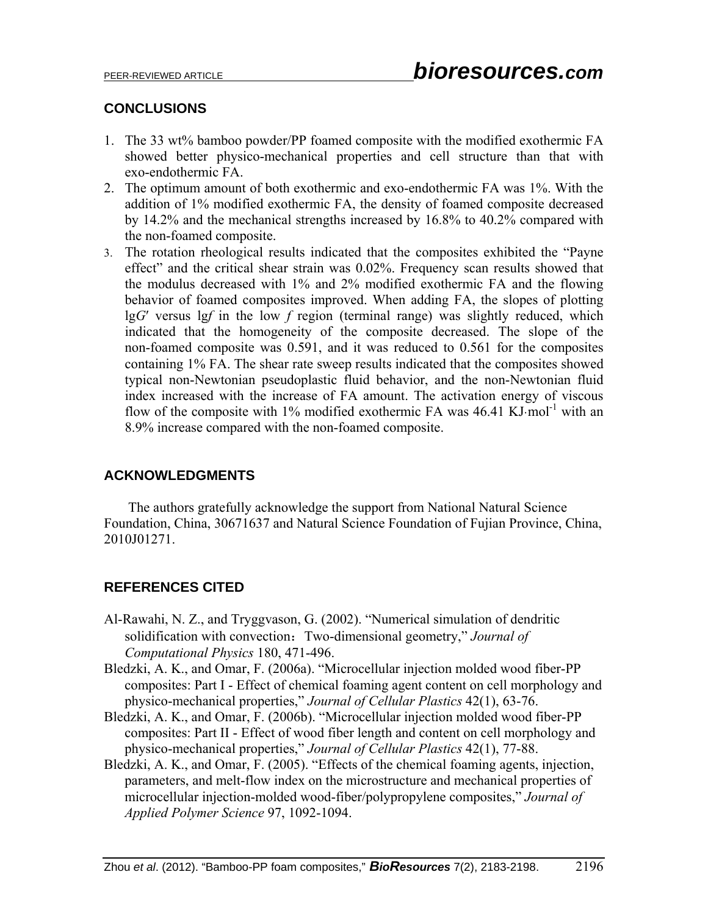## **CONCLUSIONS**

- 1. The 33 wt% bamboo powder/PP foamed composite with the modified exothermic FA showed better physico-mechanical properties and cell structure than that with exo-endothermic FA.
- 2. The optimum amount of both exothermic and exo-endothermic FA was 1%. With the addition of 1% modified exothermic FA, the density of foamed composite decreased by 14.2% and the mechanical strengths increased by 16.8% to 40.2% compared with the non-foamed composite.
- 3. The rotation rheological results indicated that the composites exhibited the "Payne effect" and the critical shear strain was 0.02%. Frequency scan results showed that the modulus decreased with 1% and 2% modified exothermic FA and the flowing behavior of foamed composites improved. When adding FA, the slopes of plotting lg*G*′ versus lg*f* in the low *f* region (terminal range) was slightly reduced, which indicated that the homogeneity of the composite decreased. The slope of the non-foamed composite was 0.591, and it was reduced to 0.561 for the composites containing 1% FA. The shear rate sweep results indicated that the composites showed typical non-Newtonian pseudoplastic fluid behavior, and the non-Newtonian fluid index increased with the increase of FA amount. The activation energy of viscous flow of the composite with 1% modified exothermic FA was  $46.41 \text{ KJ/mol}^{-1}$  with an 8.9% increase compared with the non-foamed composite.

## **ACKNOWLEDGMENTS**

 The authors gratefully acknowledge the support from National Natural Science Foundation, China, 30671637 and Natural Science Foundation of Fujian Province, China, 2010J01271.

# **REFERENCES CITED**

- Al-Rawahi, N. Z., and Tryggvason, G. (2002). "Numerical simulation of dendritic solidification with convection: Two-dimensional geometry," *Journal of Computational Physics* 180, 471-496.
- Bledzki, A. K., and Omar, F. (2006a). "Microcellular injection molded wood fiber-PP composites: Part I - Effect of chemical foaming agent content on cell morphology and physico-mechanical properties," *Journal of Cellular Plastics* 42(1), 63-76.
- Bledzki, A. K., and Omar, F. (2006b). "Microcellular injection molded wood fiber-PP composites: Part II - Effect of wood fiber length and content on cell morphology and physico-mechanical properties," *Journal of Cellular Plastics* 42(1), 77-88.
- Bledzki, A. K., and Omar, F. (2005). "Effects of the chemical foaming agents, injection, parameters, and melt-flow index on the microstructure and mechanical properties of microcellular injection-molded wood-fiber/polypropylene composites," *Journal of Applied Polymer Science* 97, 1092-1094.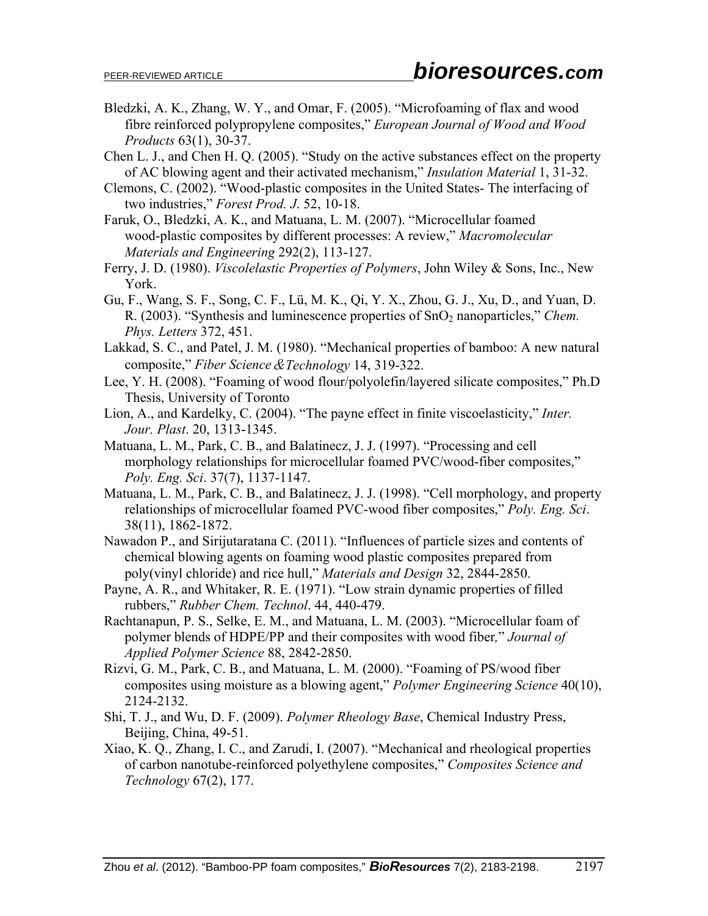- Bledzki, A. K., Zhang, W. Y., and Omar, F. (2005). "Microfoaming of flax and wood fibre reinforced polypropylene composites," *European Journal of Wood and Wood Products* 63(1), 30-37.
- Chen L. J., and Chen H. Q. (2005). "Study on the active substances effect on the property of AC blowing agent and their activated mechanism," *Insulation Material* 1, 31-32.
- Clemons, C. (2002). "Wood-plastic composites in the United States- The interfacing of two industries," *Forest Prod. J*. 52, 10-18.
- Faruk, O., Bledzki, A. K., and Matuana, L. M. (2007). "Microcellular foamed wood-plastic composites by different processes: A review," *Macromolecular Materials and Engineering* 292(2), 113-127.
- Ferry, J. D. (1980). *Viscolelastic Properties of Polymers*, John Wiley & Sons, Inc., New York.
- Gu, F., Wang, S. F., Song, C. F., Lü, M. K., Qi, Y. X., Zhou, G. J., Xu, D., and Yuan, D. R. (2003). "Synthesis and luminescence properties of SnO2 nanoparticles," *Chem. Phys. Letters* 372, 451.
- Lakkad, S. C., and Patel, J. M. (1980). "Mechanical properties of bamboo: A new natural composite," *Fiber Science*&*Technology* 14, 319-322.
- Lee, Y. H. (2008). "Foaming of wood flour/polyolefin/layered silicate composites," Ph.D Thesis, University of Toronto
- Lion, A., and Kardelky, C. (2004). "The payne effect in finite viscoelasticity," *Inter. Jour. Plast*. 20, 1313-1345.
- Matuana, L. M., Park, C. B., and Balatinecz, J. J. (1997). "Processing and cell morphology relationships for microcellular foamed PVC/wood-fiber composites," *Poly. Eng. Sci*. 37(7), 1137-1147.
- Matuana, L. M., Park, C. B., and Balatinecz, J. J. (1998). "Cell morphology, and property relationships of microcellular foamed PVC-wood fiber composites," *Poly. Eng. Sci*. 38(11), 1862-1872.
- Nawadon P., and Sirijutaratana C. (2011). "Influences of particle sizes and contents of chemical blowing agents on foaming wood plastic composites prepared from poly(vinyl chloride) and rice hull," *Materials and Design* 32, 2844-2850.
- Payne, A. R., and Whitaker, R. E. (1971). "Low strain dynamic properties of filled rubbers," *Rubber Chem. Technol*. 44, 440-479.
- Rachtanapun, P. S., Selke, E. M., and Matuana, L. M. (2003). "Microcellular foam of polymer blends of HDPE/PP and their composites with wood fiber*,*" *Journal of Applied Polymer Science* 88, 2842-2850.
- Rizvi, G. M., Park, C. B., and Matuana, L. M. (2000). "Foaming of PS/wood fiber composites using moisture as a blowing agent," *Polymer Engineering Science* 40(10), 2124-2132.
- Shi, T. J., and Wu, D. F. (2009). *Polymer Rheology Base*, Chemical Industry Press, Beijing, China, 49-51.
- Xiao, K. Q., Zhang, I. C., and Zarudi, I. (2007). "Mechanical and rheological properties of carbon nanotube-reinforced polyethylene composites," *Composites Science and Technology* 67(2), 177.